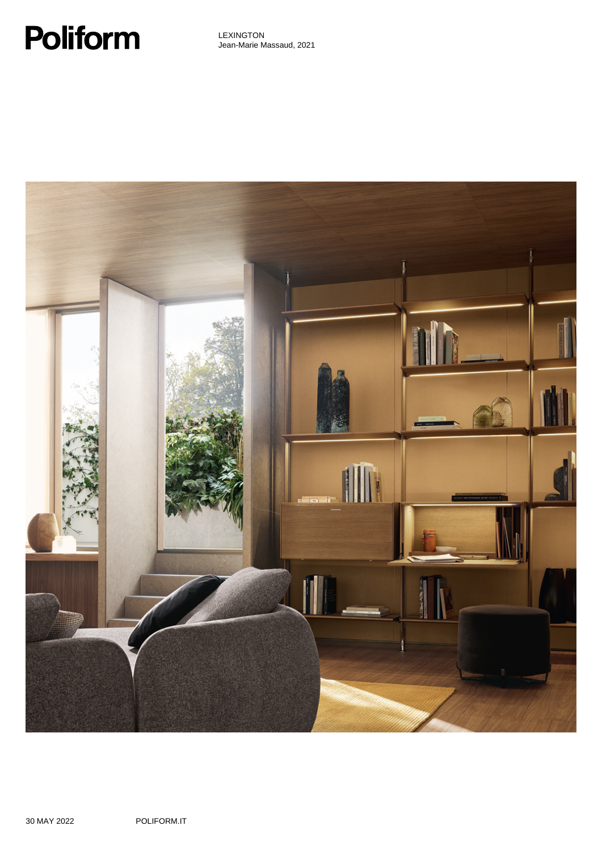# **Poliform**

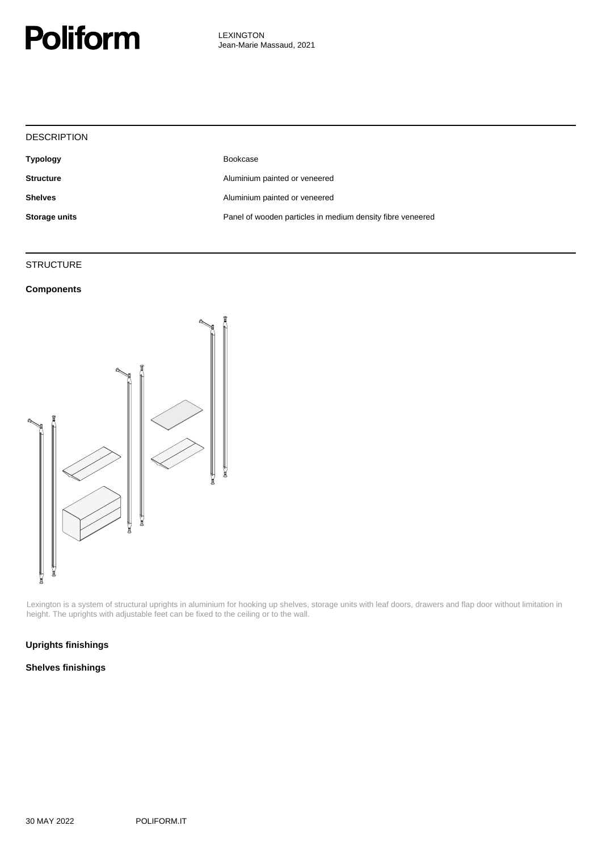

| <b>DESCRIPTION</b> |                                                            |
|--------------------|------------------------------------------------------------|
| <b>Typology</b>    | Bookcase                                                   |
| <b>Structure</b>   | Aluminium painted or veneered                              |
| <b>Shelves</b>     | Aluminium painted or veneered                              |
| Storage units      | Panel of wooden particles in medium density fibre veneered |
|                    |                                                            |

#### **STRUCTURE**

#### **Components**



Lexington is a system of structural uprights in aluminium for hooking up shelves, storage units with leaf doors, drawers and flap door without limitation in height. The uprights with adjustable feet can be fixed to the ceiling or to the wall.

#### **Uprights finishings**

#### **Shelves finishings**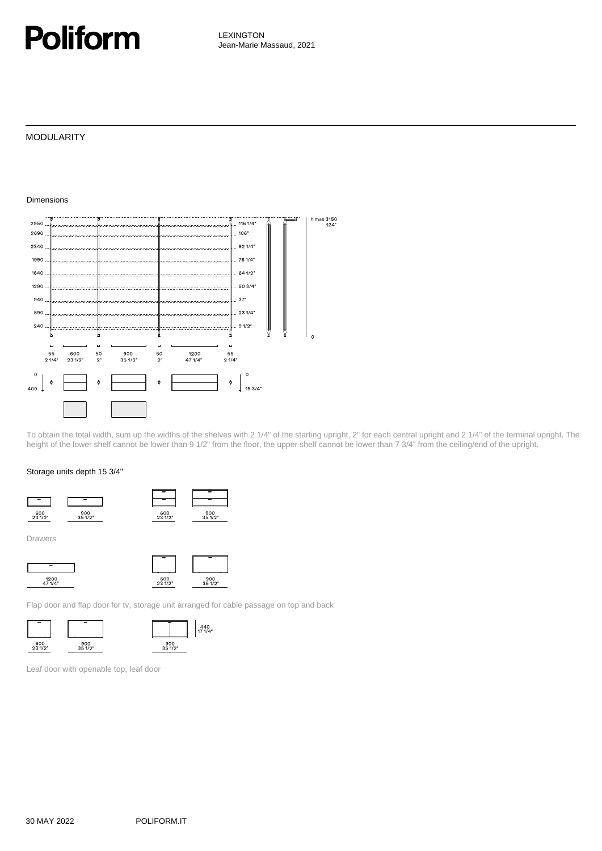### **Poliform**

LEXINGTON Jean-Marie Massaud, 2021

#### MODULARITY

Dimensions

#### h max 3150<br>124" 2950  $. 11614'$ 2690 106 2340  $921/4"$ 1990 78 1/4"  $1640.$  $641/2$ 1290 50 3/4" 940  $37$ 590  $.231/4'$ 240  $\epsilon$  $1/2$  $\overline{H}$  $\overline{a}$  $\mathbf{H}$  $\overline{a}$  $\begin{array}{c} 55 \\ 2 \frac{1}{4} \end{array}$  $\begin{array}{c} 600 \\ 231/2 \end{array}$  $900$ <br> $35 1/2$ "  $1200$ <br> $471/4$  $\frac{55}{21/4}$  $\frac{50}{2"}$  $\frac{50}{2}$  $\circ$  $\circ$  $\ddot{\bullet}$ **k**  $153/4"$ 400

To obtain the total width, sum up the widths of the shelves with 2 1/4" of the starting upright, 2" for each central upright and 2 1/4" of the terminal upright. The height of the lower shelf cannot be lower than 9 1/2" from the floor, the upper shelf cannot be lower than 7 3/4" from the ceiling/end of the upright.

#### Storage units depth 15 3/4"



Drawers



Flap door and flap door for tv, storage unit arranged for cable passage on top and back





Leaf door with openable top, leaf door